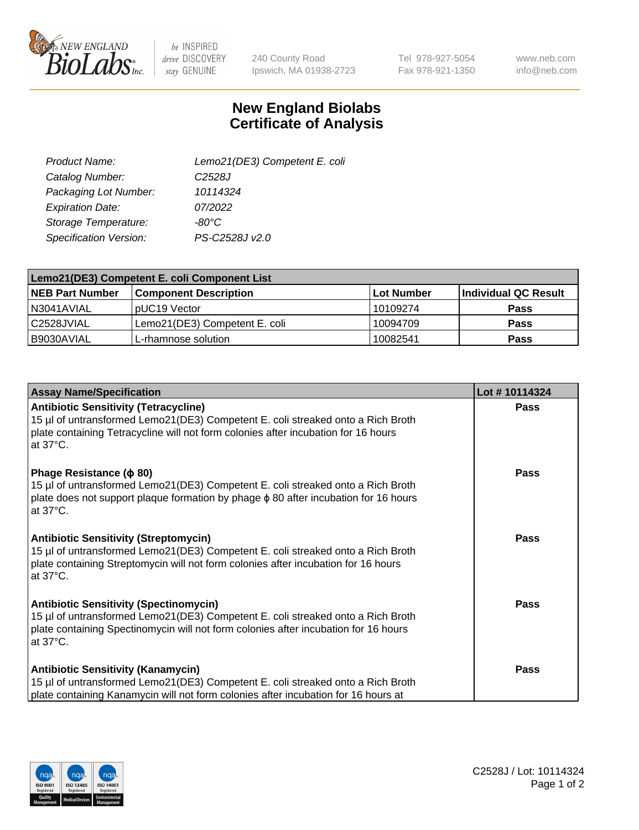

 $be$  INSPIRED drive DISCOVERY stay GENUINE

240 County Road Ipswich, MA 01938-2723 Tel 978-927-5054 Fax 978-921-1350 www.neb.com info@neb.com

## **New England Biolabs Certificate of Analysis**

| Lemo21(DE3) Competent E. coli |
|-------------------------------|
| C <sub>2528</sub> J           |
| 10114324                      |
| 07/2022                       |
| $-80^{\circ}$ C               |
| PS-C2528J v2.0                |
|                               |

| Lemo21(DE3) Competent E. coli Component List |                               |            |                             |  |
|----------------------------------------------|-------------------------------|------------|-----------------------------|--|
| <b>NEB Part Number</b>                       | <b>Component Description</b>  | Lot Number | <b>Individual QC Result</b> |  |
| N3041AVIAL                                   | I pUC19 Vector                | l 10109274 | <b>Pass</b>                 |  |
| l C2528JVIAL                                 | Lemo21(DE3) Competent E. coli | 10094709   | <b>Pass</b>                 |  |
| B9030AVIAL                                   | L-rhamnose solution           | 10082541   | <b>Pass</b>                 |  |

| <b>Assay Name/Specification</b>                                                                                                                                                                                                             | Lot #10114324 |
|---------------------------------------------------------------------------------------------------------------------------------------------------------------------------------------------------------------------------------------------|---------------|
| <b>Antibiotic Sensitivity (Tetracycline)</b><br>15 µl of untransformed Lemo21(DE3) Competent E. coli streaked onto a Rich Broth<br>plate containing Tetracycline will not form colonies after incubation for 16 hours<br>at $37^{\circ}$ C. | Pass          |
| Phage Resistance (φ 80)<br>15 µl of untransformed Lemo21(DE3) Competent E. coli streaked onto a Rich Broth<br>plate does not support plaque formation by phage $\phi$ 80 after incubation for 16 hours<br>at 37°C.                          | Pass          |
| <b>Antibiotic Sensitivity (Streptomycin)</b><br>15 µl of untransformed Lemo21(DE3) Competent E. coli streaked onto a Rich Broth<br>plate containing Streptomycin will not form colonies after incubation for 16 hours<br>at 37°C.           | <b>Pass</b>   |
| <b>Antibiotic Sensitivity (Spectinomycin)</b><br>15 µl of untransformed Lemo21(DE3) Competent E. coli streaked onto a Rich Broth<br>plate containing Spectinomycin will not form colonies after incubation for 16 hours<br>at 37°C.         | <b>Pass</b>   |
| <b>Antibiotic Sensitivity (Kanamycin)</b><br>15 µl of untransformed Lemo21(DE3) Competent E. coli streaked onto a Rich Broth<br>plate containing Kanamycin will not form colonies after incubation for 16 hours at                          | Pass          |